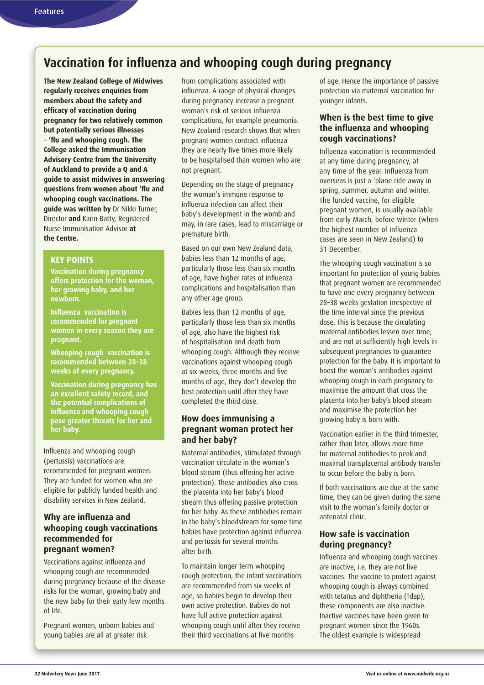# **Vaccination for influenza and whooping cough during pregnancy**

**The New Zealand College of Midwives regularly receives enquiries from members about the safety and efficacy of vaccination during pregnancy for two relatively common but potentially serious illnesses – 'flu and whooping cough. The College asked the Immunisation Advisory Centre from the University of Auckland to provide a Q and A guide to assist midwives in answering questions from women about 'flu and whooping cough vaccinations. The guide was written by** Dr Nikki Turner, Director **and** Karin Batty, Registered Nurse Immunisation Advisor **at the Centre.**

# **KEY POINTS**

**Vaccination during pregnancy offers protection for the woman, her growing baby, and her newborn.**

**Influenza vaccination is recommended for pregnant women in every season they are pregnant.**

**Whooping cough vaccination is recommended between 28–38 weeks of every pregnancy.**

**Vaccination during pregnancy has an excellent safety record, and the potential complications of influenza and whooping cough pose greater threats for her and her baby.**

Influenza and whooping cough (pertussis) vaccinations are recommended for pregnant women. They are funded for women who are eligible for publicly funded health and disability services in New Zealand.

#### **Why are influenza and whooping cough vaccinations recommended for pregnant women?**

Vaccinations against influenza and whooping cough are recommended during pregnancy because of the disease risks for the woman, growing baby and the new baby for their early few months of life.

Pregnant women, unborn babies and young babies are all at greater risk

from complications associated with influenza. A range of physical changes during pregnancy increase a pregnant woman's risk of serious influenza complications, for example pneumonia. New Zealand research shows that when pregnant women contract influenza they are nearly five times more likely to be hospitalised than women who are not pregnant.

Depending on the stage of pregnancy the woman's immune response to influenza infection can affect their baby's development in the womb and may, in rare cases, lead to miscarriage or premature birth.

Based on our own New Zealand data, babies less than 12 months of age, particularly those less than six months of age, have higher rates of influenza complications and hospitalisation than any other age group.

Babies less than 12 months of age, particularly those less than six months of age, also have the highest risk of hospitalisation and death from whooping cough. Although they receive vaccinations against whooping cough at six weeks, three months and five months of age, they don't develop the best protection until after they have completed the third dose.

## **How does immunising a pregnant woman protect her and her baby?**

Maternal antibodies, stimulated through vaccination circulate in the woman's blood stream (thus offering her active protection). These antibodies also cross the placenta into her baby's blood stream thus offering passive protection for her baby. As these antibodies remain in the baby's bloodstream for some time babies have protection against influenza and pertussis for several months after birth.

To maintain longer term whooping cough protection, the infant vaccinations are recommended from six weeks of age, so babies begin to develop their own active protection. Babies do not have full active protection against whooping cough until after they receive their third vaccinations at five months

of age. Hence the importance of passive protection via maternal vaccination for younger infants.

# **When is the best time to give the influenza and whooping cough vaccinations?**

Influenza vaccination is recommended at any time during pregnancy, at any time of the year. Influenza from overseas is just a 'plane ride away in spring, summer, autumn and winter. The funded vaccine, for eligible pregnant women, is usually available from early March, before winter (when the highest number of influenza cases are seen in New Zealand) to 31 December.

The whooping cough vaccination is so important for protection of young babies that pregnant women are recommended to have one every pregnancy between 28–38 weeks gestation irrespective of the time interval since the previous dose. This is because the circulating maternal antibodies lessen over time, and are not at sufficiently high levels in subsequent pregnancies to guarantee protection for the baby. It is important to boost the woman's antibodies against whooping cough in each pregnancy to maximise the amount that cross the placenta into her baby's blood stream and maximise the protection her growing baby is born with.

Vaccination earlier in the third trimester, rather than later, allows more time for maternal antibodies to peak and maximal transplacental antibody transfer to occur before the baby is born.

If both vaccinations are due at the same time, they can be given during the same visit to the woman's family doctor or antenatal clinic.

#### **How safe is vaccination during pregnancy?**

Influenza and whooping cough vaccines are inactive, i.e. they are not live vaccines. The vaccine to protect against whooping cough is always combined with tetanus and diphtheria (Tdap), these components are also inactive. Inactive vaccines have been given to pregnant women since the 1960s. The oldest example is widespread